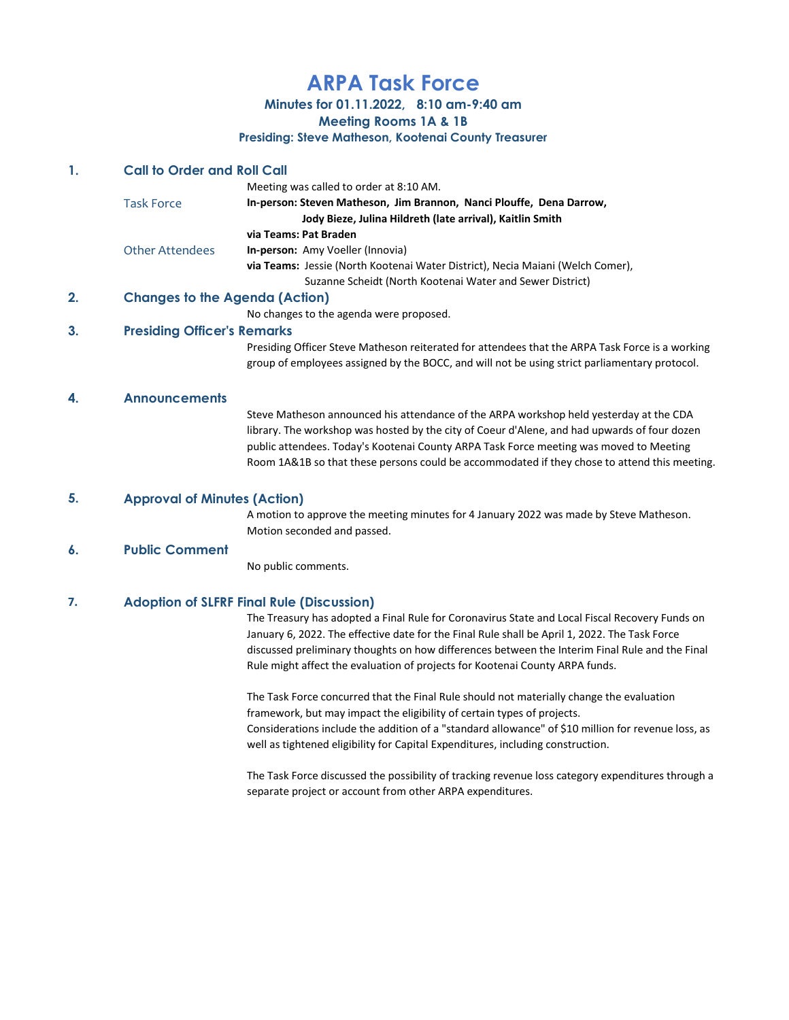# ARPA Task Force

Minutes for 01.11.2022, 8:10 am-9:40 am

Meeting Rooms 1A & 1B

Presiding: Steve Matheson, Kootenai County Treasurer

## 1. Call to Order and Roll Call

|                        | Meeting was called to order at 8:10 AM.                                        |
|------------------------|--------------------------------------------------------------------------------|
| <b>Task Force</b>      | In-person: Steven Matheson, Jim Brannon, Nanci Plouffe, Dena Darrow,           |
|                        | Jody Bieze, Julina Hildreth (late arrival), Kaitlin Smith                      |
|                        | via Teams: Pat Braden                                                          |
| <b>Other Attendees</b> | <b>In-person:</b> Amy Voeller (Innovia)                                        |
|                        | via Teams: Jessie (North Kootenai Water District), Necia Maiani (Welch Comer), |
|                        | Suzanne Scheidt (North Kootenai Water and Sewer District)                      |
|                        |                                                                                |

# 2. Changes to the Agenda (Action)

No changes to the agenda were proposed.

### 3. Presiding Officer's Remarks

Presiding Officer Steve Matheson reiterated for attendees that the ARPA Task Force is a working group of employees assigned by the BOCC, and will not be using strict parliamentary protocol.

#### 4. Announcements

Steve Matheson announced his attendance of the ARPA workshop held yesterday at the CDA library. The workshop was hosted by the city of Coeur d'Alene, and had upwards of four dozen public attendees. Today's Kootenai County ARPA Task Force meeting was moved to Meeting Room 1A&1B so that these persons could be accommodated if they chose to attend this meeting.

#### 5. Approval of Minutes (Action)

A motion to approve the meeting minutes for 4 January 2022 was made by Steve Matheson. Motion seconded and passed.

#### 6. Public Comment

No public comments.

#### 7. Adoption of SLFRF Final Rule (Discussion)

The Treasury has adopted a Final Rule for Coronavirus State and Local Fiscal Recovery Funds on January 6, 2022. The effective date for the Final Rule shall be April 1, 2022. The Task Force discussed preliminary thoughts on how differences between the Interim Final Rule and the Final Rule might affect the evaluation of projects for Kootenai County ARPA funds.

The Task Force concurred that the Final Rule should not materially change the evaluation framework, but may impact the eligibility of certain types of projects. Considerations include the addition of a "standard allowance" of \$10 million for revenue loss, as well as tightened eligibility for Capital Expenditures, including construction.

The Task Force discussed the possibility of tracking revenue loss category expenditures through a separate project or account from other ARPA expenditures.